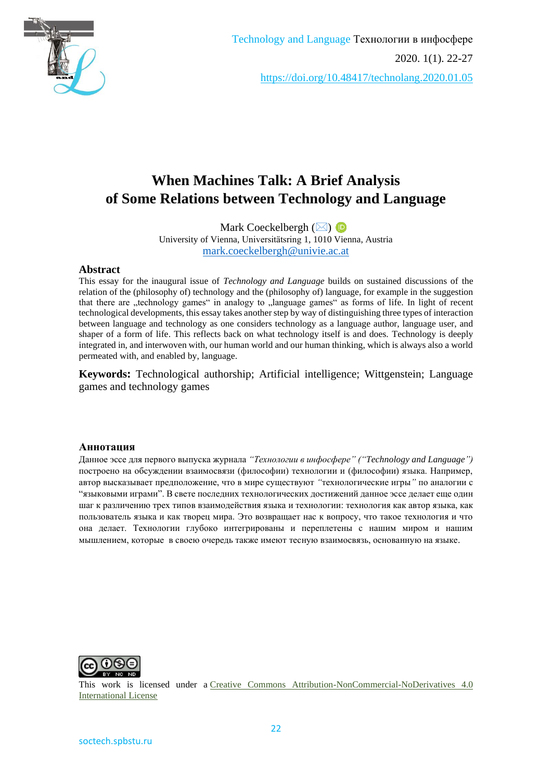

# **When Machines Talk: A Brief Analysis of Some Relations between Technology and Language**

Mark Coeckelbergh  $(\boxtimes)$ 

University of Vienna, Universitätsring 1, 1010 Vienna, Austria [mark.coeckelbergh@univie.ac.at](mailto:mark.coeckelbergh@univie.ac.at)

#### **Abstract**

This essay for the inaugural issue of *Technology and Language* builds on sustained discussions of the relation of the (philosophy of) technology and the (philosophy of) language, for example in the suggestion that there are "technology games" in analogy to "language games" as forms of life. In light of recent technological developments, this essay takes another step by way of distinguishing three types of interaction between language and technology as one considers technology as a language author, language user, and shaper of a form of life. This reflects back on what technology itself is and does. Technology is deeply integrated in, and interwoven with, our human world and our human thinking, which is always also a world permeated with, and enabled by, language.

**Keywords:** Technological authorship; Artificial intelligence; Wittgenstein; Language games and technology games

#### **Аннотация**

Данное эссе для первого выпуска журнала *"Технологии в инфосфере" ("Technology and Language")* построено на обсуждении взаимосвязи (философии) технологии и (философии) языка. Например, автор высказывает предположение, что в мире существуют *"*технологические игры*"* по аналогии с "языковыми играми". В свете последних технологических достижений данное эссе делает еще один шаг к различению трех типов взаимодействия языка и технологии: технология как автор языка, как пользователь языка и как творец мира. Это возвращает нас к вопросу, что такое технология и что она делает. Технологии глубоко интегрированы и переплетены с нашим миром и нашим мышлением, которые в своею очередь также имеют тесную взаимосвязь, основанную на языке.



This work is licensed under a [Creative Commons Attribution-NonCommercial-NoDerivatives 4.0](http://creativecommons.org/licenses/by-nc-nd/4.0/)  [International License](http://creativecommons.org/licenses/by-nc-nd/4.0/)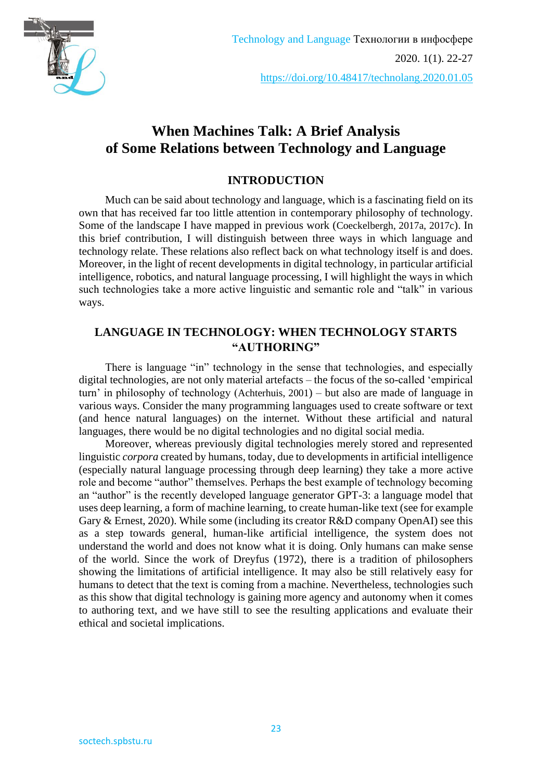

## **When Machines Talk: A Brief Analysis of Some Relations between Technology and Language**

### **INTRODUCTION**

Much can be said about technology and language, which is a fascinating field on its own that has received far too little attention in contemporary philosophy of technology. Some of the landscape I have mapped in previous work (Coeckelbergh, 2017a, 2017c). In this brief contribution, I will distinguish between three ways in which language and technology relate. These relations also reflect back on what technology itself is and does. Moreover, in the light of recent developments in digital technology, in particular artificial intelligence, robotics, and natural language processing, I will highlight the ways in which such technologies take a more active linguistic and semantic role and "talk" in various ways.

### **LANGUAGE IN TECHNOLOGY: WHEN TECHNOLOGY STARTS "AUTHORING"**

There is language "in" technology in the sense that technologies, and especially digital technologies, are not only material artefacts – the focus of the so-called 'empirical turn' in philosophy of technology (Achterhuis, 2001) – but also are made of language in various ways. Consider the many programming languages used to create software or text (and hence natural languages) on the internet. Without these artificial and natural languages, there would be no digital technologies and no digital social media.

Moreover, whereas previously digital technologies merely stored and represented linguistic *corpora* created by humans, today, due to developments in artificial intelligence (especially natural language processing through deep learning) they take a more active role and become "author" themselves. Perhaps the best example of technology becoming an "author" is the recently developed language generator GPT-3: a language model that uses deep learning, a form of machine learning, to create human-like text (see for example Gary & Ernest, 2020). While some (including its creator R&D company OpenAI) see this as a step towards general, human-like artificial intelligence, the system does not understand the world and does not know what it is doing. Only humans can make sense of the world. Since the work of Dreyfus (1972), there is a tradition of philosophers showing the limitations of artificial intelligence. It may also be still relatively easy for humans to detect that the text is coming from a machine. Nevertheless, technologies such as this show that digital technology is gaining more agency and autonomy when it comes to authoring text, and we have still to see the resulting applications and evaluate their ethical and societal implications.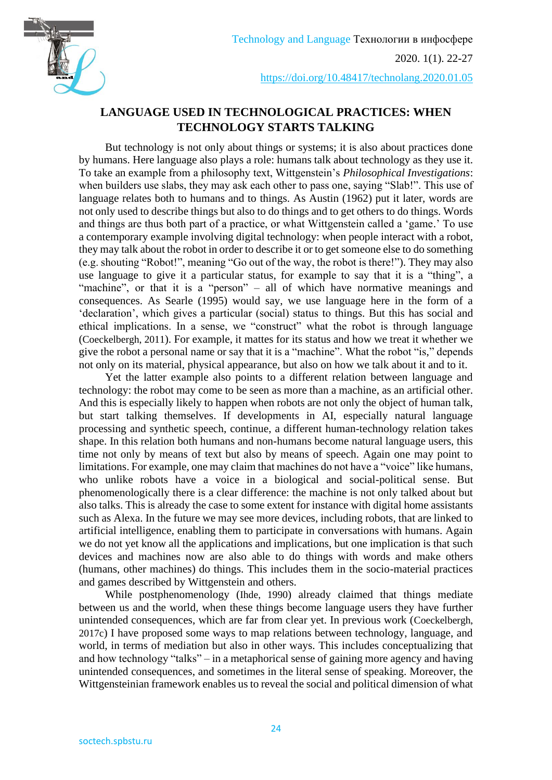

## **LANGUAGE USED IN TECHNOLOGICAL PRACTICES: WHEN TECHNOLOGY STARTS TALKING**

But technology is not only about things or systems; it is also about practices done by humans. Here language also plays a role: humans talk about technology as they use it. To take an example from a philosophy text, Wittgenstein's *Philosophical Investigations*: when builders use slabs, they may ask each other to pass one, saying "Slab!". This use of language relates both to humans and to things. As Austin (1962) put it later, words are not only used to describe things but also to do things and to get others to do things. Words and things are thus both part of a practice, or what Wittgenstein called a 'game.' To use a contemporary example involving digital technology: when people interact with a robot, they may talk about the robot in order to describe it or to get someone else to do something (e.g. shouting "Robot!", meaning "Go out of the way, the robot is there!"). They may also use language to give it a particular status, for example to say that it is a "thing", a "machine", or that it is a "person" – all of which have normative meanings and consequences. As Searle (1995) would say, we use language here in the form of a 'declaration', which gives a particular (social) status to things. But this has social and ethical implications. In a sense, we "construct" what the robot is through language (Coeckelbergh, 2011). For example, it mattes for its status and how we treat it whether we give the robot a personal name or say that it is a "machine". What the robot "is," depends not only on its material, physical appearance, but also on how we talk about it and to it.

Yet the latter example also points to a different relation between language and technology: the robot may come to be seen as more than a machine, as an artificial other. And this is especially likely to happen when robots are not only the object of human talk, but start talking themselves. If developments in AI, especially natural language processing and synthetic speech, continue, a different human-technology relation takes shape. In this relation both humans and non-humans become natural language users, this time not only by means of text but also by means of speech. Again one may point to limitations. For example, one may claim that machines do not have a "voice" like humans, who unlike robots have a voice in a biological and social-political sense. But phenomenologically there is a clear difference: the machine is not only talked about but also talks. This is already the case to some extent for instance with digital home assistants such as Alexa. In the future we may see more devices, including robots, that are linked to artificial intelligence, enabling them to participate in conversations with humans. Again we do not yet know all the applications and implications, but one implication is that such devices and machines now are also able to do things with words and make others (humans, other machines) do things. This includes them in the socio-material practices and games described by Wittgenstein and others.

While postphenomenology (Ihde, 1990) already claimed that things mediate between us and the world, when these things become language users they have further unintended consequences, which are far from clear yet. In previous work (Coeckelbergh, 2017c) I have proposed some ways to map relations between technology, language, and world, in terms of mediation but also in other ways. This includes conceptualizing that and how technology "talks" – in a metaphorical sense of gaining more agency and having unintended consequences, and sometimes in the literal sense of speaking. Moreover, the Wittgensteinian framework enables us to reveal the social and political dimension of what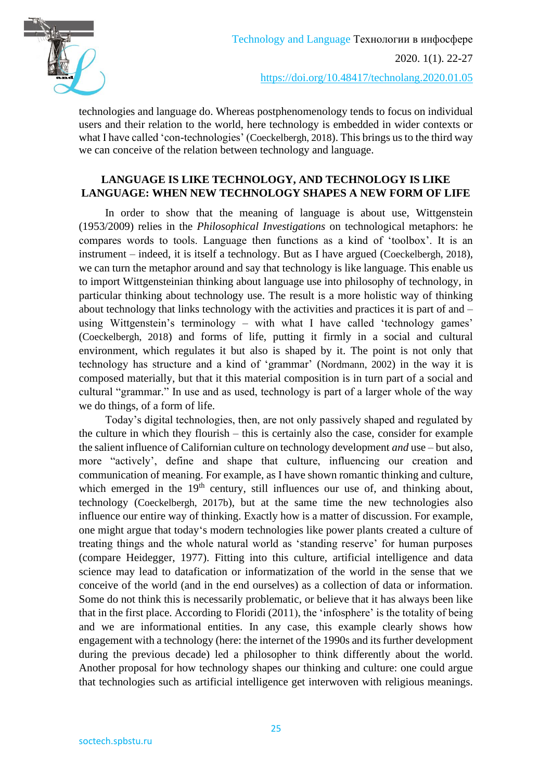

technologies and language do. Whereas postphenomenology tends to focus on individual users and their relation to the world, here technology is embedded in wider contexts or what I have called 'con-technologies' (Coeckelbergh, 2018). This brings us to the third way we can conceive of the relation between technology and language.

#### **LANGUAGE IS LIKE TECHNOLOGY, AND TECHNOLOGY IS LIKE LANGUAGE: WHEN NEW TECHNOLOGY SHAPES A NEW FORM OF LIFE**

In order to show that the meaning of language is about use, Wittgenstein (1953/2009) relies in the *Philosophical Investigations* on technological metaphors: he compares words to tools. Language then functions as a kind of 'toolbox'. It is an instrument – indeed, it is itself a technology. But as I have argued (Coeckelbergh, 2018), we can turn the metaphor around and say that technology is like language. This enable us to import Wittgensteinian thinking about language use into philosophy of technology, in particular thinking about technology use. The result is a more holistic way of thinking about technology that links technology with the activities and practices it is part of and – using Wittgenstein's terminology – with what I have called 'technology games' (Coeckelbergh, 2018) and forms of life, putting it firmly in a social and cultural environment, which regulates it but also is shaped by it. The point is not only that technology has structure and a kind of 'grammar' (Nordmann, 2002) in the way it is composed materially, but that it this material composition is in turn part of a social and cultural "grammar." In use and as used, technology is part of a larger whole of the way we do things, of a form of life.

Today's digital technologies, then, are not only passively shaped and regulated by the culture in which they flourish – this is certainly also the case, consider for example the salient influence of Californian culture on technology development *and* use – but also, more "actively', define and shape that culture, influencing our creation and communication of meaning. For example, as I have shown romantic thinking and culture, which emerged in the  $19<sup>th</sup>$  century, still influences our use of, and thinking about, technology (Coeckelbergh, 2017b), but at the same time the new technologies also influence our entire way of thinking. Exactly how is a matter of discussion. For example, one might argue that today's modern technologies like power plants created a culture of treating things and the whole natural world as 'standing reserve' for human purposes (compare Heidegger, 1977). Fitting into this culture, artificial intelligence and data science may lead to datafication or informatization of the world in the sense that we conceive of the world (and in the end ourselves) as a collection of data or information. Some do not think this is necessarily problematic, or believe that it has always been like that in the first place. According to Floridi (2011), the 'infosphere' is the totality of being and we are informational entities. In any case, this example clearly shows how engagement with a technology (here: the internet of the 1990s and its further development during the previous decade) led a philosopher to think differently about the world. Another proposal for how technology shapes our thinking and culture: one could argue that technologies such as artificial intelligence get interwoven with religious meanings.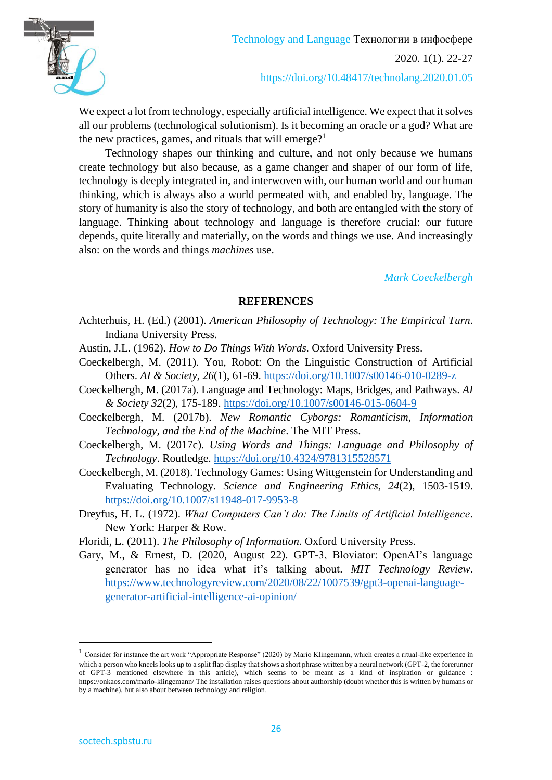We expect a lot from technology, especially artificial intelligence. We expect that it solves all our problems (technological solutionism). Is it becoming an oracle or a god? What are the new practices, games, and rituals that will emerge?<sup>1</sup>

Technology shapes our thinking and culture, and not only because we humans create technology but also because, as a game changer and shaper of our form of life, technology is deeply integrated in, and interwoven with, our human world and our human thinking, which is always also a world permeated with, and enabled by, language. The story of humanity is also the story of technology, and both are entangled with the story of language. Thinking about technology and language is therefore crucial: our future depends, quite literally and materially, on the words and things we use. And increasingly also: on the words and things *machines* use.

*Mark Coeckelbergh*

#### **REFERENCES**

- Achterhuis, H. (Ed.) (2001). *American Philosophy of Technology: The Empirical Turn*. Indiana University Press.
- Austin, J.L. (1962). *How to Do Things With Words*. Oxford University Press.
- Coeckelbergh, M. (2011). You, Robot: On the Linguistic Construction of Artificial Others. *AI & Society, 26*(1), 61-69.<https://doi.org/10.1007/s00146-010-0289-z>
- Coeckelbergh, M. (2017a). Language and Technology: Maps, Bridges, and Pathways. *AI & Society 32*(2), 175-189.<https://doi.org/10.1007/s00146-015-0604-9>
- Coeckelbergh, M. (2017b). *New Romantic Cyborgs: Romanticism, Information Technology, and the End of the Machine*. The MIT Press.
- Coeckelbergh, M. (2017c). *Using Words and Things: Language and Philosophy of Technology*. Routledge. <https://doi.org/10.4324/9781315528571>
- Coeckelbergh, M. (2018). Technology Games: Using Wittgenstein for Understanding and Evaluating Technology. *Science and Engineering Ethics, 24*(2), 1503-1519. <https://doi.org/10.1007/s11948-017-9953-8>
- Dreyfus, H. L. (1972). *What Computers Can't do: The Limits of Artificial Intelligence*. New York: Harper & Row.
- Floridi, L. (2011). *The Philosophy of Information*. Oxford University Press.
- Gary, M., & Ernest, D. (2020, August 22). GPT-3, Bloviator: OpenAI's language generator has no idea what it's talking about. *MIT Technology Review*. [https://www.technologyreview.com/2020/08/22/1007539/gpt3-openai-language](https://www.technologyreview.com/2020/08/22/1007539/gpt3-openai-language-generator-artificial-intelligence-ai-opinion/)[generator-artificial-intelligence-ai-opinion/](https://www.technologyreview.com/2020/08/22/1007539/gpt3-openai-language-generator-artificial-intelligence-ai-opinion/)

<sup>1</sup> Consider for instance the art work "Appropriate Response" (2020) by Mario Klingemann, which creates a ritual-like experience in which a person who kneels looks up to a split flap display that shows a short phrase written by a neural network (GPT-2, the forerunner of GPT-3 mentioned elsewhere in this article), which seems to be meant as a kind of inspiration or guidance : https://onkaos.com/mario-klingemann/ The installation raises questions about authorship (doubt whether this is written by humans or by a machine), but also about between technology and religion.